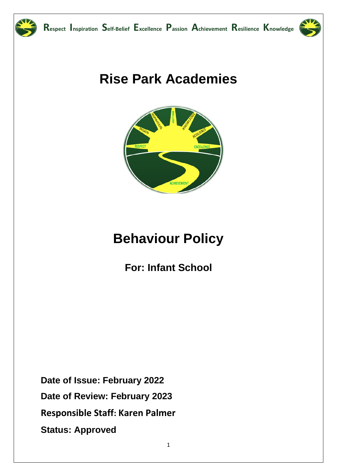



# **Rise Park Academies**



# **Behaviour Policy**

**For: Infant School** 

Date of Issue: February 2022 Date of Review: February 2023 Responsible Staff: Karen Palmer **Status: Approved**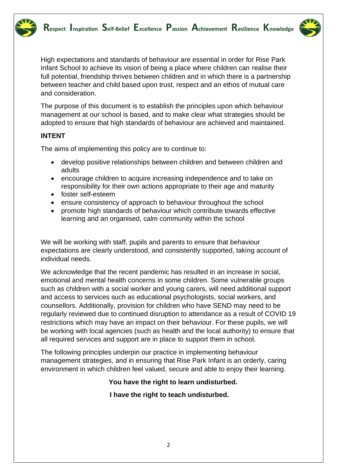

High expectations and standards of behaviour are essential in order for Rise Park Infant School to achieve its vision of being a place where children can realise their full potential, friendship thrives between children and in which there is a partnership between teacher and child based upon trust, respect and an ethos of mutual care and consideration.

The purpose of this document is to establish the principles upon which behaviour management at our school is based, and to make clear what strategies should be adopted to ensure that high standards of behaviour are achieved and maintained.

#### **INTENT**

The aims of implementing this policy are to continue to:

- develop positive relationships between children and between children and adults
- encourage children to acquire increasing independence and to take on responsibility for their own actions appropriate to their age and maturity
- foster self-esteem
- ensure consistency of approach to behaviour throughout the school
- promote high standards of behaviour which contribute towards effective learning and an organised, calm community within the school

We will be working with staff, pupils and parents to ensure that behaviour expectations are clearly understood, and consistently supported, taking account of individual needs.

We acknowledge that the recent pandemic has resulted in an increase in social, emotional and mental health concerns in some children. Some vulnerable groups such as children with a social worker and young carers, will need additional support and access to services such as educational psychologists, social workers, and counsellors. Additionally, provision for children who have SEND may need to be regularly reviewed due to continued disruption to attendance as a result of COVID 19 restrictions which may have an impact on their behaviour. For these pupils, we will be working with local agencies (such as health and the local authority) to ensure that all required services and support are in place to support them in school.

The following principles underpin our practice in implementing behaviour management strategies, and in ensuring that Rise Park Infant is an orderly, caring environment in which children feel valued, secure and able to enjoy their learning.

#### **You have the right to learn undisturbed.**

#### **I have the right to teach undisturbed.**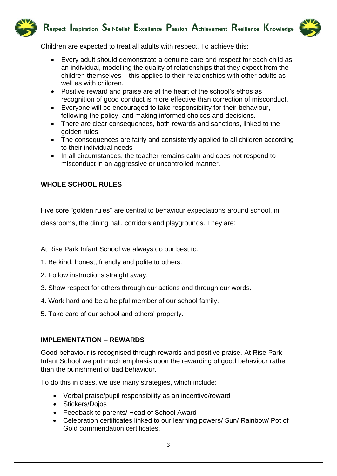

## **Respect Inspiration Self-Belief Excellence Passion Achievement Resilience Knowledge**



Children are expected to treat all adults with respect. To achieve this:

- Every adult should demonstrate a genuine care and respect for each child as an individual, modelling the quality of relationships that they expect from the children themselves – this applies to their relationships with other adults as well as with children.
- Positive reward and praise are at the heart of the school's ethos as recognition of good conduct is more effective than correction of misconduct.
- Everyone will be encouraged to take responsibility for their behaviour, following the policy, and making informed choices and decisions.
- There are clear consequences, both rewards and sanctions, linked to the golden rules.
- The consequences are fairly and consistently applied to all children according to their individual needs
- In all circumstances, the teacher remains calm and does not respond to misconduct in an aggressive or uncontrolled manner.

### **WHOLE SCHOOL RULES**

Five core "golden rules" are central to behaviour expectations around school, in

classrooms, the dining hall, corridors and playgrounds. They are:

At Rise Park Infant School we always do our best to:

- 1. Be kind, honest, friendly and polite to others.
- 2. Follow instructions straight away.
- 3. Show respect for others through our actions and through our words.
- 4. Work hard and be a helpful member of our school family.
- 5. Take care of our school and others' property.

#### **IMPLEMENTATION – REWARDS**

Good behaviour is recognised through rewards and positive praise. At Rise Park Infant School we put much emphasis upon the rewarding of good behaviour rather than the punishment of bad behaviour.

To do this in class, we use many strategies, which include:

- Verbal praise/pupil responsibility as an incentive/reward
- Stickers/Dojos
- Feedback to parents/ Head of School Award
- Celebration certificates linked to our learning powers/ Sun/ Rainbow/ Pot of Gold commendation certificates.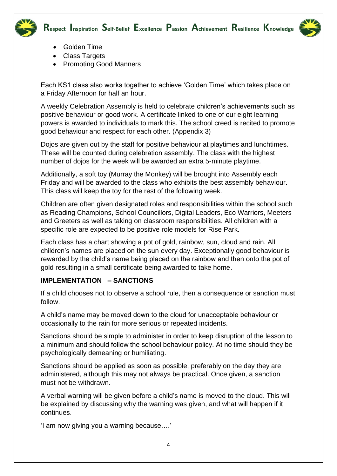



- Golden Time
- Class Targets
- Promoting Good Manners

Each KS1 class also works together to achieve 'Golden Time' which takes place on a Friday Afternoon for half an hour.

A weekly Celebration Assembly is held to celebrate children's achievements such as positive behaviour or good work. A certificate linked to one of our eight learning powers is awarded to individuals to mark this. The school creed is recited to promote good behaviour and respect for each other. (Appendix 3)

Dojos are given out by the staff for positive behaviour at playtimes and lunchtimes. These will be counted during celebration assembly. The class with the highest number of dojos for the week will be awarded an extra 5-minute playtime.

Additionally, a soft toy (Murray the Monkey) will be brought into Assembly each Friday and will be awarded to the class who exhibits the best assembly behaviour. This class will keep the toy for the rest of the following week.

Children are often given designated roles and responsibilities within the school such as Reading Champions, School Councillors, Digital Leaders, Eco Warriors, Meeters and Greeters as well as taking on classroom responsibilities. All children with a specific role are expected to be positive role models for Rise Park.

Each class has a chart showing a pot of gold, rainbow, sun, cloud and rain. All children's names are placed on the sun every day. Exceptionally good behaviour is rewarded by the child's name being placed on the rainbow and then onto the pot of gold resulting in a small certificate being awarded to take home.

#### **IMPLEMENTATION – SANCTIONS**

If a child chooses not to observe a school rule, then a consequence or sanction must follow.

A child's name may be moved down to the cloud for unacceptable behaviour or occasionally to the rain for more serious or repeated incidents.

Sanctions should be simple to administer in order to keep disruption of the lesson to a minimum and should follow the school behaviour policy. At no time should they be psychologically demeaning or humiliating.

Sanctions should be applied as soon as possible, preferably on the day they are administered, although this may not always be practical. Once given, a sanction must not be withdrawn.

A verbal warning will be given before a child's name is moved to the cloud. This will be explained by discussing why the warning was given, and what will happen if it continues.

'I am now giving you a warning because….'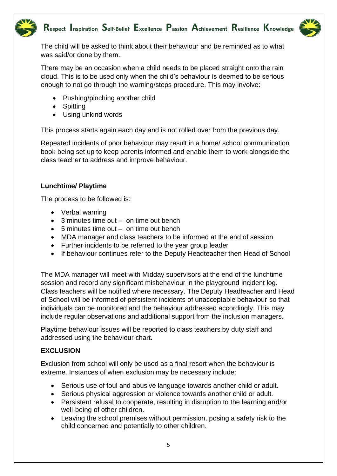



The child will be asked to think about their behaviour and be reminded as to what was said/or done by them.

There may be an occasion when a child needs to be placed straight onto the rain cloud. This is to be used only when the child's behaviour is deemed to be serious enough to not go through the warning/steps procedure. This may involve:

- Pushing/pinching another child
- Spitting
- Using unkind words

This process starts again each day and is not rolled over from the previous day.

Repeated incidents of poor behaviour may result in a home/ school communication book being set up to keep parents informed and enable them to work alongside the class teacher to address and improve behaviour.

#### **Lunchtime/ Playtime**

The process to be followed is:

- Verbal warning
- 3 minutes time out on time out bench
- 5 minutes time out on time out bench
- MDA manager and class teachers to be informed at the end of session
- Further incidents to be referred to the year group leader
- If behaviour continues refer to the Deputy Headteacher then Head of School

The MDA manager will meet with Midday supervisors at the end of the lunchtime session and record any significant misbehaviour in the playground incident log. Class teachers will be notified where necessary. The Deputy Headteacher and Head of School will be informed of persistent incidents of unacceptable behaviour so that individuals can be monitored and the behaviour addressed accordingly. This may include regular observations and additional support from the inclusion managers.

Playtime behaviour issues will be reported to class teachers by duty staff and addressed using the behaviour chart.

#### **EXCLUSION**

Exclusion from school will only be used as a final resort when the behaviour is extreme. Instances of when exclusion may be necessary include:

- Serious use of foul and abusive language towards another child or adult.
- Serious physical aggression or violence towards another child or adult.
- Persistent refusal to cooperate, resulting in disruption to the learning and/or well-being of other children.
- Leaving the school premises without permission, posing a safety risk to the child concerned and potentially to other children.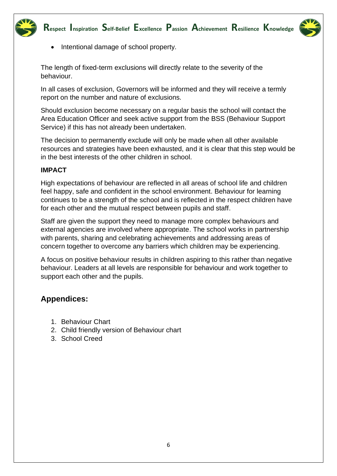



• Intentional damage of school property.

The length of fixed-term exclusions will directly relate to the severity of the behaviour.

In all cases of exclusion, Governors will be informed and they will receive a termly report on the number and nature of exclusions.

Should exclusion become necessary on a regular basis the school will contact the Area Education Officer and seek active support from the BSS (Behaviour Support Service) if this has not already been undertaken.

The decision to permanently exclude will only be made when all other available resources and strategies have been exhausted, and it is clear that this step would be in the best interests of the other children in school.

#### **IMPACT**

High expectations of behaviour are reflected in all areas of school life and children feel happy, safe and confident in the school environment. Behaviour for learning continues to be a strength of the school and is reflected in the respect children have for each other and the mutual respect between pupils and staff.

Staff are given the support they need to manage more complex behaviours and external agencies are involved where appropriate. The school works in partnership with parents, sharing and celebrating achievements and addressing areas of concern together to overcome any barriers which children may be experiencing.

A focus on positive behaviour results in children aspiring to this rather than negative behaviour. Leaders at all levels are responsible for behaviour and work together to support each other and the pupils.

## **Appendices:**

- 1. Behaviour Chart
- 2. Child friendly version of Behaviour chart
- 3. School Creed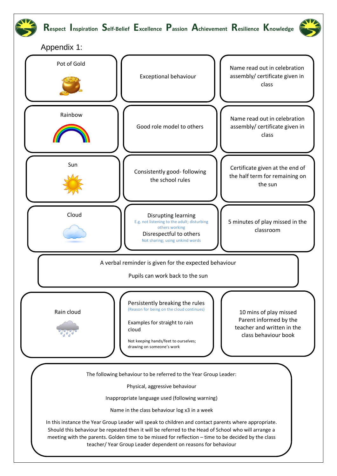

Rain cloud

Persistently breaking the rules (Reason for being on the cloud continues)

Examples for straight to rain cloud

Not keeping hands/feet to ourselves; drawing on someone's work

10 mins of play missed Parent informed by the teacher and written in the class behaviour book

The following behaviour to be referred to the Year Group Leader:

Physical, aggressive behaviour

Inappropriate language used (following warning)

Name in the class behaviour log x3 in a week

7 teacher/ Year Group Leader dependent on reasons for behaviourIn this instance the Year Group Leader will speak to children and contact parents where appropriate. Should this behaviour be repeated then it will be referred to the Head of School who will arrange a meeting with the parents. Golden time to be missed for reflection – time to be decided by the class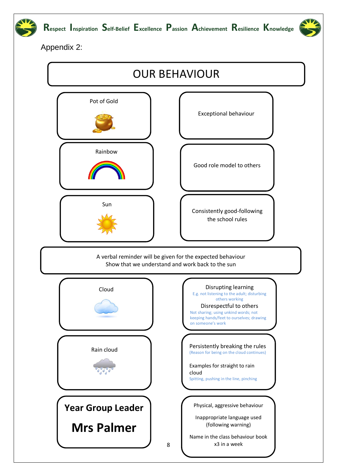

Appendix 2:

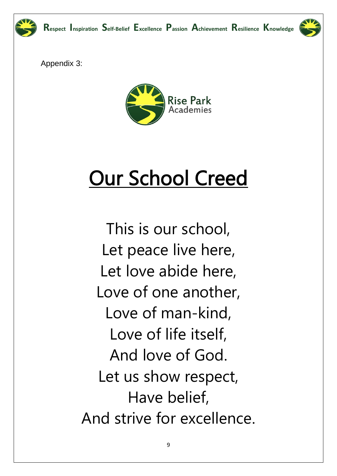

Appendix 3:



# **Our School Creed**

This is our school, Let peace live here, Let love abide here, Love of one another, Love of man-kind, Love of life itself, And love of God. Let us show respect, Have belief, And strive for excellence.